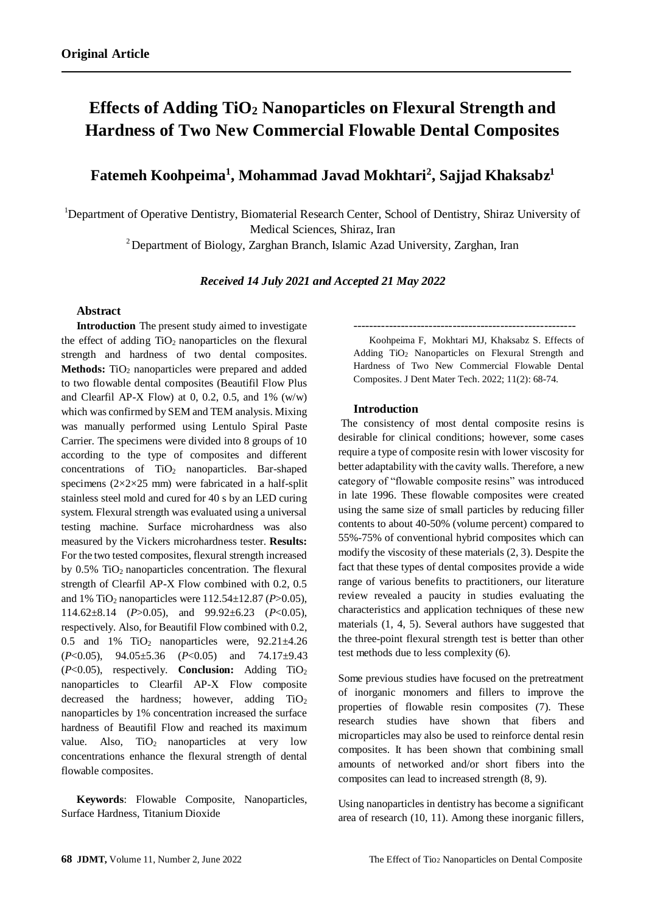# **Effects of Adding TiO<sup>2</sup> Nanoparticles on Flexural Strength and Hardness of Two New Commercial Flowable Dental Composites**

## **Fatemeh Koohpeima<sup>1</sup> , Mohammad Javad Mokhtari<sup>2</sup> , Sajjad Khaksabz<sup>1</sup>**

<sup>1</sup>Department of Operative Dentistry, Biomaterial Research Center, School of Dentistry, Shiraz University of Medical Sciences, Shiraz, Iran

<sup>2</sup> Department of Biology, Zarghan Branch, Islamic Azad University, Zarghan, Iran

*Received 14 July 2021 and Accepted 21 May 2022*

### **Abstract**

**Introduction** The present study aimed to investigate the effect of adding  $TiO<sub>2</sub>$  nanoparticles on the flexural strength and hardness of two dental composites. Methods: TiO<sub>2</sub> nanoparticles were prepared and added to two flowable dental composites (Beautifil Flow Plus and Clearfil AP-X Flow) at 0, 0.2, 0.5, and 1%  $(w/w)$ which was confirmed by SEM and TEM analysis. Mixing was manually performed using Lentulo Spiral Paste Carrier. The specimens were divided into 8 groups of 10 according to the type of composites and different concentrations of TiO<sub>2</sub> nanoparticles. Bar-shaped specimens  $(2\times2\times25$  mm) were fabricated in a half-split stainless steel mold and cured for 40 s by an LED curing system. Flexural strength was evaluated using a universal testing machine. Surface microhardness was also measured by the Vickers microhardness tester. **Results:** For the two tested composites, flexural strength increased by  $0.5\%$  TiO<sub>2</sub> nanoparticles concentration. The flexural strength of Clearfil AP-X Flow combined with 0.2, 0.5 and 1% TiO<sup>2</sup> nanoparticles were 112.54±12.87 (*P*>0.05), 114.62±8.14 (*P*>0.05), and 99.92±6.23 (*P*<0.05), respectively. Also, for Beautifil Flow combined with 0.2, 0.5 and 1%  $TiO<sub>2</sub>$  nanoparticles were, 92.21 $\pm$ 4.26 (*P*<0.05), 94.05±5.36 (*P*<0.05) and 74.17±9.43 (*P*<0.05), respectively. **Conclusion:** Adding TiO<sup>2</sup> nanoparticles to Clearfil AP-X Flow composite decreased the hardness; however, adding  $TiO<sub>2</sub>$ nanoparticles by 1% concentration increased the surface hardness of Beautifil Flow and reached its maximum value. Also,  $TiO<sub>2</sub>$  nanoparticles at very low concentrations enhance the flexural strength of dental flowable composites.

**Keywords**: Flowable Composite, Nanoparticles, Surface Hardness, Titanium Dioxide

Koohpeima F, Mokhtari MJ, Khaksabz S. Effects of Adding TiO<sup>2</sup> Nanoparticles on Flexural Strength and Hardness of Two New Commercial Flowable Dental Composites. J Dent Mater Tech. 2022; 11(2): 68-74.

--------------------------------------------------------

#### **Introduction**

The consistency of most dental composite resins is desirable for clinical conditions; however, some cases require a type of composite resin with lower viscosity for better adaptability with the cavity walls. Therefore, a new category of "flowable composite resins" was introduced in late 1996. These flowable composites were created using the same size of small particles by reducing filler contents to about 40-50% (volume percent) compared to 55%-75% of conventional hybrid composites which can modify the viscosity of these materials [\(2,](#page-5-0) [3\)](#page-5-1). Despite the fact that these types of dental composites provide a wide range of various benefits to practitioners, our literature review revealed a paucity in studies evaluating the characteristics and application techniques of these new materials [\(1,](#page-5-2) [4,](#page-5-3) [5\)](#page-5-4). Several authors have suggested that the three-point flexural strength test is better than other test methods due to less complexity [\(6\)](#page-5-5).

Some previous studies have focused on the pretreatment of inorganic monomers and fillers to improve the properties of flowable resin composites [\(7\)](#page-5-6). These research studies have shown that fibers and microparticles may also be used to reinforce dental resin composites. It has been shown that combining small amounts of networked and/or short fibers into the composites can lead to increased strength [\(8,](#page-5-7) [9\)](#page-5-8).

Using nanoparticles in dentistry has become a significant area of research [\(10,](#page-6-0) [11\)](#page-6-1). Among these inorganic fillers,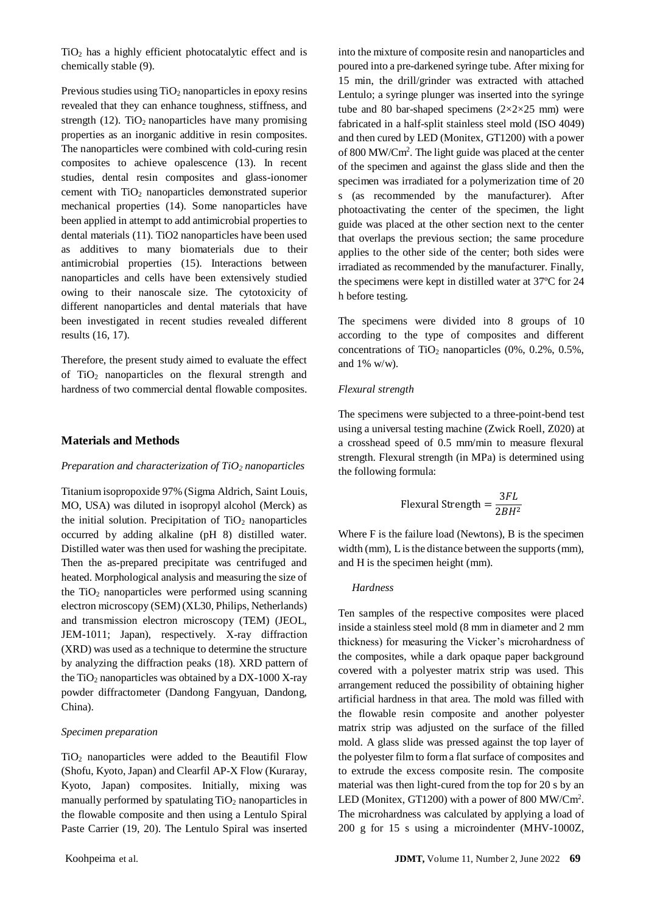$TiO<sub>2</sub>$  has a highly efficient photocatalytic effect and is chemically stable [\(9\)](#page-5-8).

Previous studies using  $TiO<sub>2</sub>$  nanoparticles in epoxy resins revealed that they can enhance toughness, stiffness, and strength  $(12)$ . TiO<sub>2</sub> nanoparticles have many promising properties as an inorganic additive in resin composites. The nanoparticles were combined with cold-curing resin composites to achieve opalescence [\(13\)](#page-6-3). In recent studies, dental resin composites and glass-ionomer cement with TiO<sup>2</sup> nanoparticles demonstrated superior mechanical properties [\(14\)](#page-6-4). Some nanoparticles have been applied in attempt to add antimicrobial properties to dental materials [\(11\)](#page-6-1). TiO2 nanoparticles have been used as additives to many biomaterials due to their antimicrobial properties [\(15\)](#page-6-5). Interactions between nanoparticles and cells have been extensively studied owing to their nanoscale size. The cytotoxicity of different nanoparticles and dental materials that have been investigated in recent studies revealed different results [\(16,](#page-6-6) [17\)](#page-6-7).

Therefore, the present study aimed to evaluate the effect of  $TiO<sub>2</sub>$  nanoparticles on the flexural strength and hardness of two commercial dental flowable composites.

### **Materials and Methods**

#### *Preparation and characterization of TiO<sup>2</sup> nanoparticles*

Titanium isopropoxide 97% (Sigma Aldrich, Saint Louis, MO, USA) was diluted in isopropyl alcohol (Merck) as the initial solution. Precipitation of  $TiO<sub>2</sub>$  nanoparticles occurred by adding alkaline (pH 8) distilled water. Distilled water was then used for washing the precipitate. Then the as-prepared precipitate was centrifuged and heated. Morphological analysis and measuring the size of the  $TiO<sub>2</sub>$  nanoparticles were performed using scanning electron microscopy (SEM) (XL30, Philips, Netherlands) and transmission electron microscopy (TEM) (JEOL, JEM-1011; Japan), respectively. X-ray diffraction (XRD) was used as a technique to determine the structure by analyzing the diffraction peaks [\(18\)](#page-6-8). XRD pattern of the  $TiO<sub>2</sub>$  nanoparticles was obtained by a DX-1000 X-ray powder diffractometer (Dandong Fangyuan, Dandong, China).

#### *Specimen preparation*

 $TiO<sub>2</sub>$  nanoparticles were added to the Beautifil Flow (Shofu, Kyoto, Japan) and Clearfil AP-X Flow (Kuraray, Kyoto, Japan) composites. Initially, mixing was manually performed by spatulating  $TiO<sub>2</sub>$  nanoparticles in the flowable composite and then using a Lentulo Spiral Paste Carrier [\(19,](#page-6-9) [20\)](#page-6-10). The Lentulo Spiral was inserted into the mixture of composite resin and nanoparticles and poured into a pre-darkened syringe tube. After mixing for 15 min, the drill/grinder was extracted with attached Lentulo; a syringe plunger was inserted into the syringe tube and 80 bar-shaped specimens  $(2\times2\times25$  mm) were fabricated in a half-split stainless steel mold (ISO 4049) and then cured by LED (Monitex, GT1200) with a power of 800 MW/Cm<sup>2</sup> . The light guide was placed at the center of the specimen and against the glass slide and then the specimen was irradiated for a polymerization time of 20 s (as recommended by the manufacturer). After photoactivating the center of the specimen, the light guide was placed at the other section next to the center that overlaps the previous section; the same procedure applies to the other side of the center; both sides were irradiated as recommended by the manufacturer. Finally, the specimens were kept in distilled water at 37ºC for 24 h before testing.

The specimens were divided into 8 groups of 10 according to the type of composites and different concentrations of TiO<sub>2</sub> nanoparticles  $(0\%, 0.2\%, 0.5\%,$ and 1% w/w).

#### *Flexural strength*

The specimens were subjected to a three-point-bend test using a universal testing machine (Zwick Roell, Z020) at a crosshead speed of 0.5 mm/min to measure flexural strength. Flexural strength (in MPa) is determined using the following formula:

$$
F\text{lexural Strength} = \frac{3FL}{2BH^2}
$$

Where F is the failure load (Newtons), B is the specimen width (mm), L is the distance between the supports (mm), and H is the specimen height (mm).

#### *Hardness*

Ten samples of the respective composites were placed inside a stainless steel mold (8 mm in diameter and 2 mm thickness) for measuring the Vicker's microhardness of the composites, while a dark opaque paper background covered with a polyester matrix strip was used. This arrangement reduced the possibility of obtaining higher artificial hardness in that area. The mold was filled with the flowable resin composite and another polyester matrix strip was adjusted on the surface of the filled mold. A glass slide was pressed against the top layer of the polyester film to form a flat surface of composites and to extrude the excess composite resin. The composite material was then light-cured from the top for 20 s by an LED (Monitex, GT1200) with a power of 800 MW/Cm<sup>2</sup>. The microhardness was calculated by applying a load of 200 g for 15 s using a microindenter (MHV-1000Z,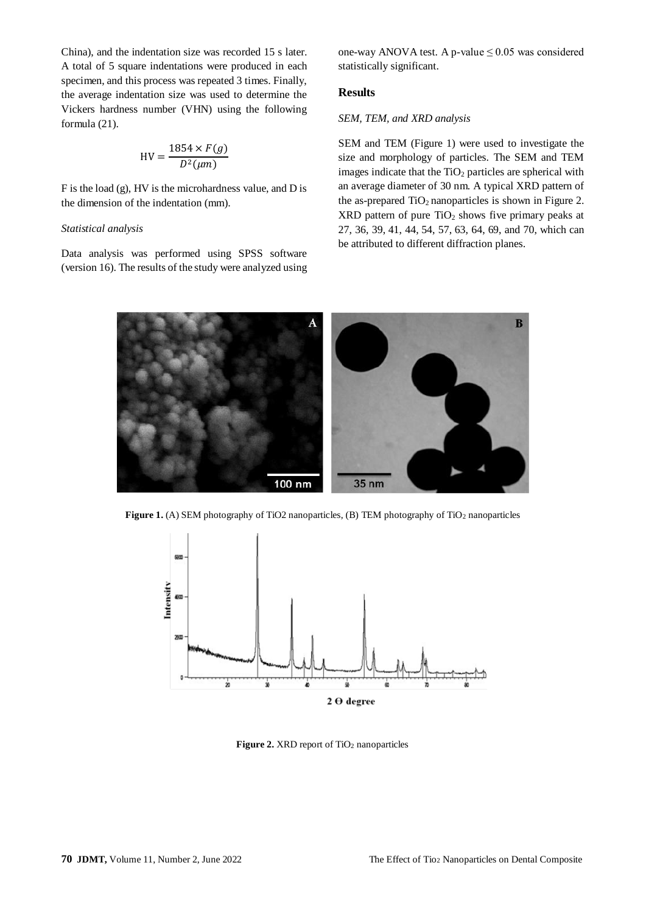China), and the indentation size was recorded 15 s later. A total of 5 square indentations were produced in each specimen, and this process was repeated 3 times. Finally, the average indentation size was used to determine the Vickers hardness number (VHN) using the following formula [\(21\)](#page-6-11).

$$
HV = \frac{1854 \times F(g)}{D^2(\mu m)}
$$

F is the load (g), HV is the microhardness value, and D is the dimension of the indentation (mm).

#### *Statistical analysis*

Data analysis was performed using SPSS software (version 16). The results of the study were analyzed using

one-way ANOVA test. A p-value  $\leq 0.05$  was considered statistically significant.

## **Results**

### *SEM, TEM, and XRD analysis*

SEM and TEM (Figure 1) were used to investigate the size and morphology of particles. The SEM and TEM images indicate that the  $TiO<sub>2</sub>$  particles are spherical with an average diameter of 30 nm. A typical XRD pattern of the as-prepared  $TiO<sub>2</sub>$  nanoparticles is shown in Figure 2.  $XRD$  pattern of pure  $TiO<sub>2</sub>$  shows five primary peaks at 27, 36, 39, 41, 44, 54, 57, 63, 64, 69, and 70, which can be attributed to different diffraction planes.



**Figure 1.** (A) SEM photography of TiO2 nanoparticles, (B) TEM photography of TiO<sup>2</sup> nanoparticles



Figure 2. XRD report of TiO<sub>2</sub> nanoparticles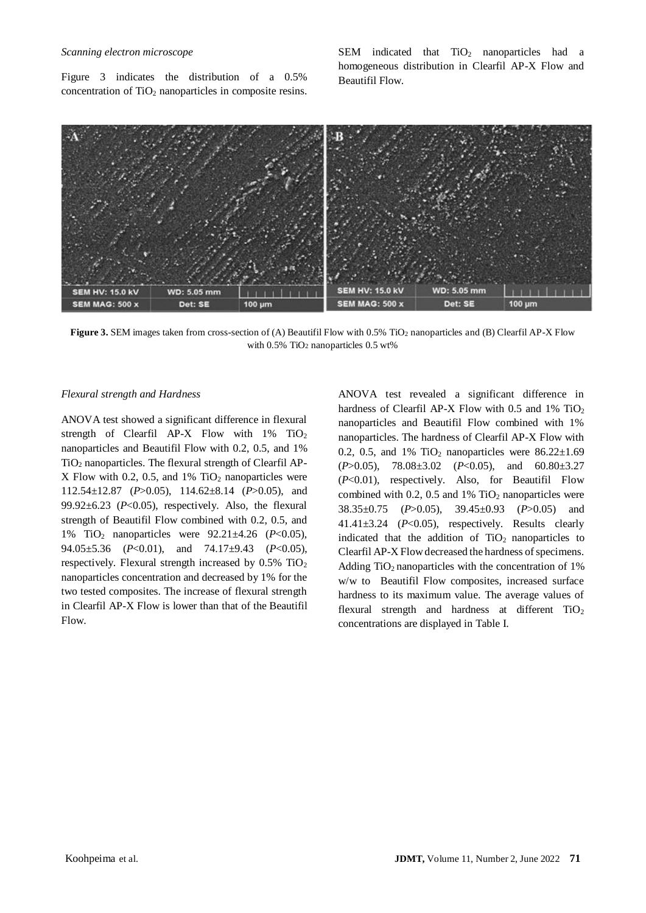#### *Scanning electron microscope*

Figure 3 indicates the distribution of a 0.5% concentration of  $TiO<sub>2</sub>$  nanoparticles in composite resins. SEM indicated that  $TiO<sub>2</sub>$  nanoparticles had a homogeneous distribution in Clearfil AP-X Flow and Beautifil Flow.



**Figure 3.** SEM images taken from cross-section of (A) Beautifil Flow with 0.5% TiO<sub>2</sub> nanoparticles and (B) Clearfil AP-X Flow with 0.5% TiO<sup>2</sup> nanoparticles 0.5 wt%

#### *Flexural strength and Hardness*

ANOVA test showed a significant difference in flexural strength of Clearfil AP-X Flow with 1% TiO<sub>2</sub> nanoparticles and Beautifil Flow with 0.2, 0.5, and 1% TiO<sup>2</sup> nanoparticles. The flexural strength of Clearfil AP-X Flow with 0.2, 0.5, and  $1\%$  TiO<sub>2</sub> nanoparticles were 112.54±12.87 (*P*>0.05), 114.62±8.14 (*P*>0.05), and 99.92 $\pm$ 6.23 ( $P<$ 0.05), respectively. Also, the flexural strength of Beautifil Flow combined with 0.2, 0.5, and 1% TiO<sup>2</sup> nanoparticles were 92.21±4.26 (*P*<0.05), 94.05±5.36 (*P*<0.01), and 74.17±9.43 (*P*<0.05), respectively. Flexural strength increased by 0.5% TiO<sub>2</sub> nanoparticles concentration and decreased by 1% for the two tested composites. The increase of flexural strength in Clearfil AP-X Flow is lower than that of the Beautifil Flow.

ANOVA test revealed a significant difference in hardness of Clearfil AP-X Flow with 0.5 and 1% TiO<sub>2</sub> nanoparticles and Beautifil Flow combined with 1% nanoparticles. The hardness of Clearfil AP-X Flow with 0.2, 0.5, and 1%  $TiO<sub>2</sub>$  nanoparticles were 86.22 $\pm$ 1.69 (*P*>0.05), 78.08±3.02 (*P*<0.05), and 60.80±3.27 (*P*<0.01), respectively. Also, for Beautifil Flow combined with  $0.2$ ,  $0.5$  and  $1\%$  TiO<sub>2</sub> nanoparticles were 38.35±0.75 (*P*>0.05), 39.45±0.93 (*P*>0.05) and 41.41±3.24 (*P*<0.05), respectively. Results clearly indicated that the addition of  $TiO<sub>2</sub>$  nanoparticles to Clearfil AP-X Flow decreased the hardness of specimens. Adding  $TiO<sub>2</sub>$  nanoparticles with the concentration of 1% w/w to Beautifil Flow composites, increased surface hardness to its maximum value. The average values of flexural strength and hardness at different TiO<sub>2</sub> concentrations are displayed in Table I.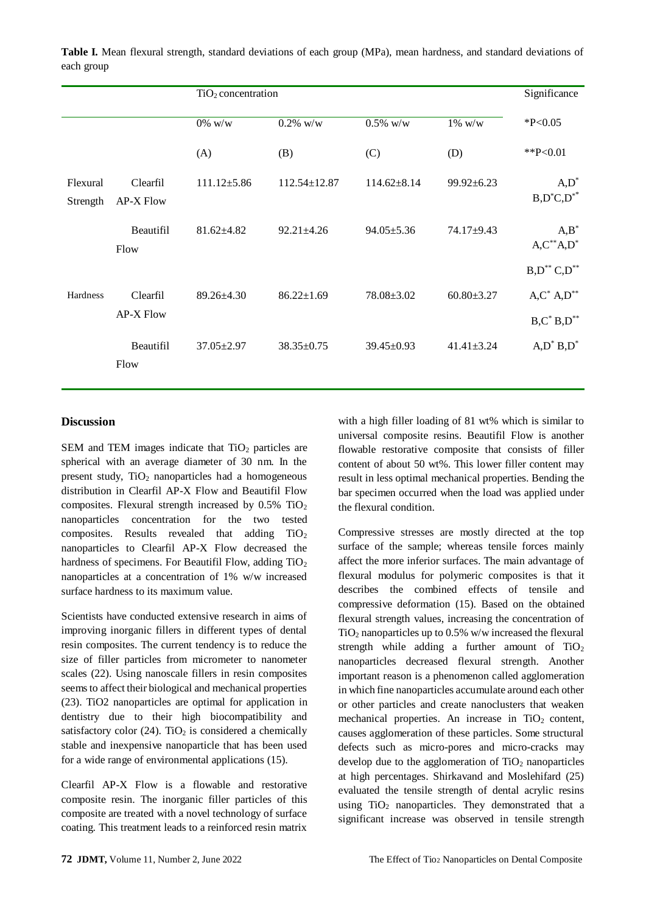|                      |                              | TiO <sub>2</sub> concentration |                  |                   |                         | Significance                             |
|----------------------|------------------------------|--------------------------------|------------------|-------------------|-------------------------|------------------------------------------|
|                      |                              | $0\%$ w/w                      | $0.2\%$ w/w      | $0.5\%$ w/w       | $1\%~\text{w}/\text{w}$ | $*P<0.05$                                |
|                      |                              | (A)                            | (B)              | (C)               | (D)                     | ** $P<0.01$                              |
| Flexural<br>Strength | Clearfil<br>AP-X Flow        | $111.12 \pm 5.86$              | 112.54±12.87     | $114.62 \pm 8.14$ | 99.92±6.23              | $A, D^*$<br>$B, D^*C, D^{**}$            |
|                      | Beautifil<br>Flow            | $81.62{\pm}4.82$               | $92.21 \pm 4.26$ | $94.05 \pm 5.36$  | 74.17±9.43              | $A,B^*$<br>$A, C^{**}A, D^*$             |
|                      |                              |                                |                  |                   |                         | $B, D^{**} C, D^{**}$                    |
| Hardness             | Clearfil<br><b>AP-X Flow</b> | $89.26 \pm 4.30$               | $86.22 \pm 1.69$ | $78.08 \pm 3.02$  | $60.80 \pm 3.27$        | $A, C^* A, D^{**}$<br>$B, C^* B, D^{**}$ |
|                      | Beautifil<br>Flow            | $37.05 \pm 2.97$               | $38.35 \pm 0.75$ | $39.45 \pm 0.93$  | $41.41 \pm 3.24$        | $A, D^* B, D^*$                          |

**Table I.** Mean flexural strength, standard deviations of each group (MPa), mean hardness, and standard deviations of each group

## **Discussion**

SEM and TEM images indicate that  $TiO<sub>2</sub>$  particles are spherical with an average diameter of 30 nm. In the present study,  $TiO<sub>2</sub>$  nanoparticles had a homogeneous distribution in Clearfil AP-X Flow and Beautifil Flow composites. Flexural strength increased by  $0.5\%$  TiO<sub>2</sub> nanoparticles concentration for the two tested composites. Results revealed that adding  $TiO<sub>2</sub>$ nanoparticles to Clearfil AP-X Flow decreased the hardness of specimens. For Beautifil Flow, adding TiO<sub>2</sub> nanoparticles at a concentration of 1% w/w increased surface hardness to its maximum value.

Scientists have conducted extensive research in aims of improving inorganic fillers in different types of dental resin composites. The current tendency is to reduce the size of filler particles from micrometer to nanometer scales [\(22\)](#page-6-12). Using nanoscale fillers in resin composites seems to affect their biological and mechanical properties [\(23\)](#page-6-13). TiO2 nanoparticles are optimal for application in dentistry due to their high biocompatibility and satisfactory color  $(24)$ . TiO<sub>2</sub> is considered a chemically stable and inexpensive nanoparticle that has been used for a wide range of environmental applications [\(15\)](#page-6-5).

Clearfil AP-X Flow is a flowable and restorative composite resin. The inorganic filler particles of this composite are treated with a novel technology of surface coating. This treatment leads to a reinforced resin matrix

with a high filler loading of 81 wt% which is similar to universal composite resins. Beautifil Flow is another flowable restorative composite that consists of filler content of about 50 wt%. This lower filler content may result in less optimal mechanical properties. Bending the bar specimen occurred when the load was applied under the flexural condition.

Compressive stresses are mostly directed at the top surface of the sample; whereas tensile forces mainly affect the more inferior surfaces. The main advantage of flexural modulus for polymeric composites is that it describes the combined effects of tensile and compressive deformation [\(15\)](#page-6-5). Based on the obtained flexural strength values, increasing the concentration of TiO<sub>2</sub> nanoparticles up to  $0.5\%$  w/w increased the flexural strength while adding a further amount of  $TiO<sub>2</sub>$ nanoparticles decreased flexural strength. Another important reason is a phenomenon called agglomeration in which fine nanoparticles accumulate around each other or other particles and create nanoclusters that weaken mechanical properties. An increase in  $TiO<sub>2</sub>$  content, causes agglomeration of these particles. Some structural defects such as micro-pores and micro-cracks may develop due to the agglomeration of  $TiO<sub>2</sub>$  nanoparticles at high percentages. Shirkavand and Moslehifard (25) evaluated the tensile strength of dental acrylic resins using  $TiO<sub>2</sub>$  nanoparticles. They demonstrated that a significant increase was observed in tensile strength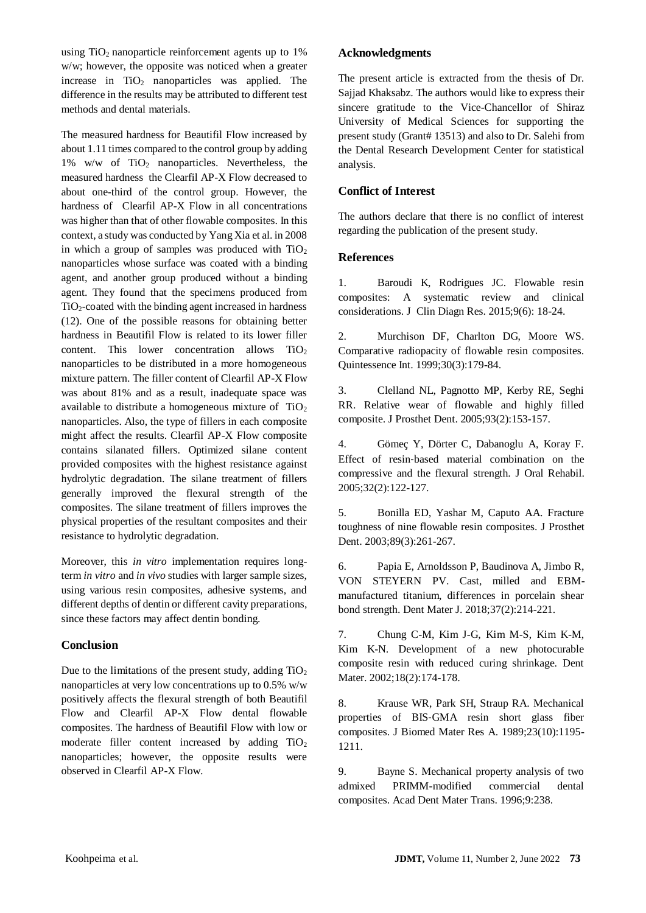using  $TiO<sub>2</sub>$  nanoparticle reinforcement agents up to 1% w/w; however, the opposite was noticed when a greater increase in  $TiO<sub>2</sub>$  nanoparticles was applied. The difference in the results may be attributed to different test methods and dental materials.

The measured hardness for Beautifil Flow increased by about 1.11 times compared to the control group by adding 1% w/w of  $TiO<sub>2</sub>$  nanoparticles. Nevertheless, the measured hardness the Clearfil AP-X Flow decreased to about one-third of the control group. However, the hardness of Clearfil AP-X Flow in all concentrations was higher than that of other flowable composites. In this context, a study was conducted by Yang Xia et al. in 2008 in which a group of samples was produced with  $TiO<sub>2</sub>$ nanoparticles whose surface was coated with a binding agent, and another group produced without a binding agent. They found that the specimens produced from  $TiO<sub>2</sub>$ -coated with the binding agent increased in hardness [\(12\)](#page-6-2). One of the possible reasons for obtaining better hardness in Beautifil Flow is related to its lower filler content. This lower concentration allows  $TiO<sub>2</sub>$ nanoparticles to be distributed in a more homogeneous mixture pattern. The filler content of Clearfil AP-X Flow was about 81% and as a result, inadequate space was available to distribute a homogeneous mixture of  $TiO<sub>2</sub>$ nanoparticles. Also, the type of fillers in each composite might affect the results. Clearfil AP-X Flow composite contains silanated fillers. Optimized silane content provided composites with the highest resistance against hydrolytic degradation. The silane treatment of fillers generally improved the flexural strength of the composites. The silane treatment of fillers improves the physical properties of the resultant composites and their resistance to hydrolytic degradation.

Moreover, this *in vitro* implementation requires longterm *in vitro* and *in vivo* studies with larger sample sizes, using various resin composites, adhesive systems, and different depths of dentin or different cavity preparations, since these factors may affect dentin bonding.

## **Conclusion**

Due to the limitations of the present study, adding  $TiO<sub>2</sub>$ nanoparticles at very low concentrations up to 0.5% w/w positively affects the flexural strength of both Beautifil Flow and Clearfil AP-X Flow dental flowable composites. The hardness of Beautifil Flow with low or moderate filler content increased by adding  $TiO<sub>2</sub>$ nanoparticles; however, the opposite results were observed in Clearfil AP-X Flow.

## **Acknowledgments**

The present article is extracted from the thesis of Dr. Sajjad Khaksabz. The authors would like to express their sincere gratitude to the Vice-Chancellor of Shiraz University of Medical Sciences for supporting the present study (Grant# 13513) and also to Dr. Salehi from the Dental Research Development Center for statistical analysis.

## **Conflict of Interest**

The authors declare that there is no conflict of interest regarding the publication of the present study.

## **References**

<span id="page-5-2"></span>1. Baroudi K, Rodrigues JC. Flowable resin composites: A systematic review and clinical considerations. JClin Diagn Res. 2015;9(6): 18-24.

<span id="page-5-0"></span>2. Murchison DF, Charlton DG, Moore WS. Comparative radiopacity of flowable resin composites. Quintessence Int. 1999;30(3):179-84.

<span id="page-5-1"></span>3. Clelland NL, Pagnotto MP, Kerby RE, Seghi RR. Relative wear of flowable and highly filled composite. J Prosthet Dent. 2005;93(2):153-157.

<span id="page-5-3"></span>4. Gömeç Y, Dörter C, Dabanoglu A, Koray F. Effect of resin‐based material combination on the compressive and the flexural strength. J Oral Rehabil. 2005;32(2):122-127.

<span id="page-5-4"></span>5. Bonilla ED, Yashar M, Caputo AA. Fracture toughness of nine flowable resin composites. J Prosthet Dent. 2003;89(3):261-267.

<span id="page-5-5"></span>6. Papia E, Arnoldsson P, Baudinova A, Jimbo R, VON STEYERN PV. Cast, milled and EBMmanufactured titanium, differences in porcelain shear bond strength. Dent Mater J. 2018;37(2):214-221.

<span id="page-5-6"></span>7. Chung C-M, Kim J-G, Kim M-S, Kim K-M, Kim K-N. Development of a new photocurable composite resin with reduced curing shrinkage. Dent Mater. 2002;18(2):174-178.

<span id="page-5-7"></span>8. Krause WR, Park SH, Straup RA. Mechanical properties of BIS‐GMA resin short glass fiber composites. J Biomed Mater Res A. 1989;23(10):1195- 1211.

<span id="page-5-8"></span>9. Bayne S. Mechanical property analysis of two admixed PRIMM-modified commercial dental composites. Acad Dent Mater Trans. 1996;9:238.